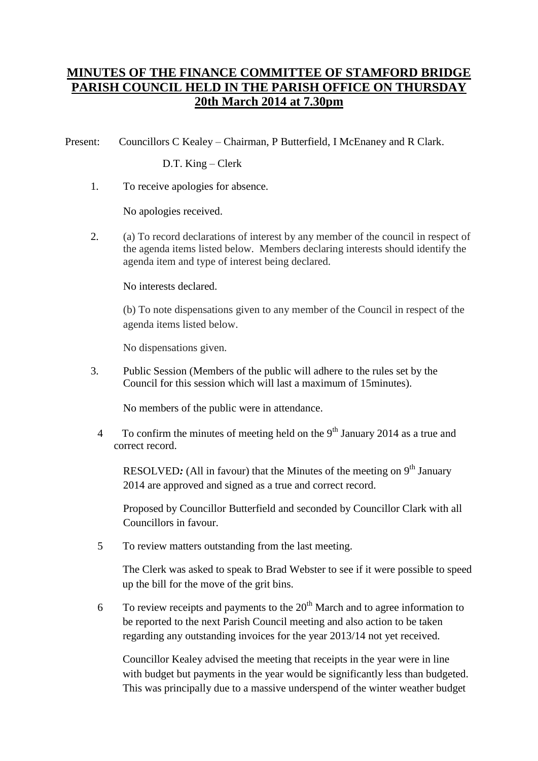## **MINUTES OF THE FINANCE COMMITTEE OF STAMFORD BRIDGE PARISH COUNCIL HELD IN THE PARISH OFFICE ON THURSDAY 20th March 2014 at 7.30pm**

Present: Councillors C Kealey – Chairman, P Butterfield, I McEnaney and R Clark.

D.T. King – Clerk

1. To receive apologies for absence.

No apologies received.

2. (a) To record declarations of interest by any member of the council in respect of the agenda items listed below. Members declaring interests should identify the agenda item and type of interest being declared.

No interests declared.

(b) To note dispensations given to any member of the Council in respect of the agenda items listed below.

No dispensations given.

3. Public Session (Members of the public will adhere to the rules set by the Council for this session which will last a maximum of 15minutes).

No members of the public were in attendance.

4 To confirm the minutes of meeting held on the 9<sup>th</sup> January 2014 as a true and correct record.

RESOLVED: (All in favour) that the Minutes of the meeting on 9<sup>th</sup> January 2014 are approved and signed as a true and correct record.

Proposed by Councillor Butterfield and seconded by Councillor Clark with all Councillors in favour.

5 To review matters outstanding from the last meeting.

The Clerk was asked to speak to Brad Webster to see if it were possible to speed up the bill for the move of the grit bins.

6 To review receipts and payments to the  $20<sup>th</sup>$  March and to agree information to be reported to the next Parish Council meeting and also action to be taken regarding any outstanding invoices for the year 2013/14 not yet received.

Councillor Kealey advised the meeting that receipts in the year were in line with budget but payments in the year would be significantly less than budgeted. This was principally due to a massive underspend of the winter weather budget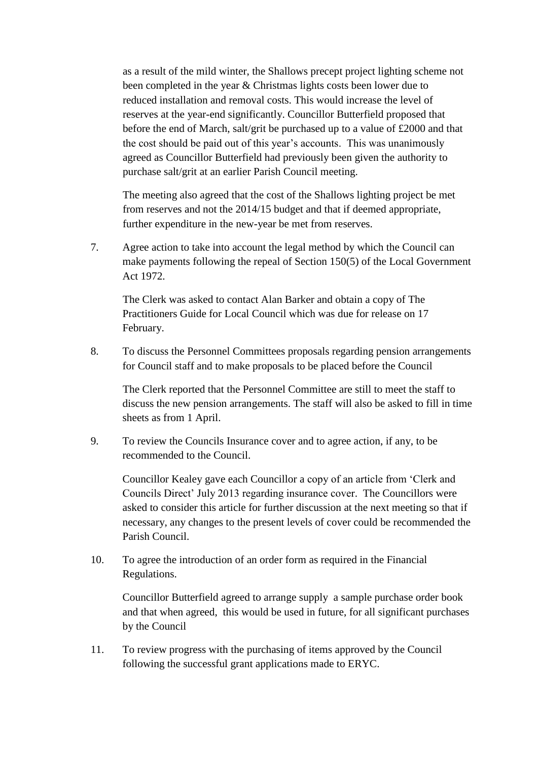as a result of the mild winter, the Shallows precept project lighting scheme not been completed in the year & Christmas lights costs been lower due to reduced installation and removal costs. This would increase the level of reserves at the year-end significantly. Councillor Butterfield proposed that before the end of March, salt/grit be purchased up to a value of £2000 and that the cost should be paid out of this year's accounts. This was unanimously agreed as Councillor Butterfield had previously been given the authority to purchase salt/grit at an earlier Parish Council meeting.

The meeting also agreed that the cost of the Shallows lighting project be met from reserves and not the 2014/15 budget and that if deemed appropriate, further expenditure in the new-year be met from reserves.

7. Agree action to take into account the legal method by which the Council can make payments following the repeal of Section 150(5) of the Local Government Act 1972.

The Clerk was asked to contact Alan Barker and obtain a copy of The Practitioners Guide for Local Council which was due for release on 17 February.

8. To discuss the Personnel Committees proposals regarding pension arrangements for Council staff and to make proposals to be placed before the Council

The Clerk reported that the Personnel Committee are still to meet the staff to discuss the new pension arrangements. The staff will also be asked to fill in time sheets as from 1 April.

9. To review the Councils Insurance cover and to agree action, if any, to be recommended to the Council.

Councillor Kealey gave each Councillor a copy of an article from 'Clerk and Councils Direct' July 2013 regarding insurance cover. The Councillors were asked to consider this article for further discussion at the next meeting so that if necessary, any changes to the present levels of cover could be recommended the Parish Council.

10. To agree the introduction of an order form as required in the Financial Regulations.

Councillor Butterfield agreed to arrange supply a sample purchase order book and that when agreed, this would be used in future, for all significant purchases by the Council

11. To review progress with the purchasing of items approved by the Council following the successful grant applications made to ERYC.